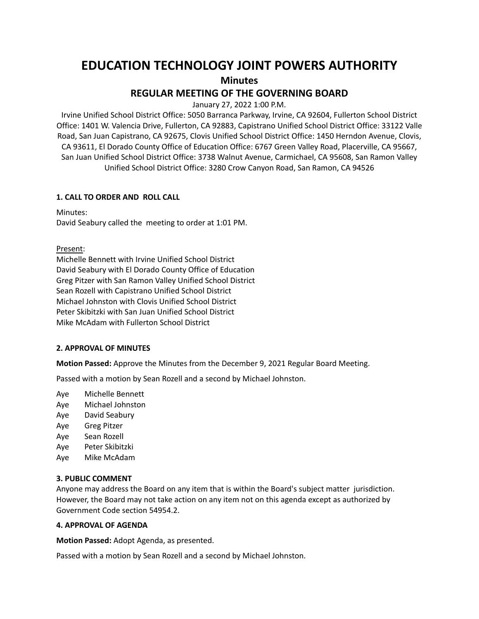# **EDUCATION TECHNOLOGY JOINT POWERS AUTHORITY Minutes**

## **REGULAR MEETING OF THE GOVERNING BOARD**

January 27, 2022 1:00 P.M.

Irvine Unified School District Office: 5050 Barranca Parkway, Irvine, CA 92604, Fullerton School District Office: 1401 W. Valencia Drive, Fullerton, CA 92883, Capistrano Unified School District Office: 33122 Valle Road, San Juan Capistrano, CA 92675, Clovis Unified School District Office: 1450 Herndon Avenue, Clovis, CA 93611, El Dorado County Office of Education Office: 6767 Green Valley Road, Placerville, CA 95667, San Juan Unified School District Office: 3738 Walnut Avenue, Carmichael, CA 95608, San Ramon Valley Unified School District Office: 3280 Crow Canyon Road, San Ramon, CA 94526

## **1. CALL TO ORDER AND ROLL CALL**

Minutes: David Seabury called the meeting to order at 1:01 PM.

Present:

Michelle Bennett with Irvine Unified School District David Seabury with El Dorado County Office of Education Greg Pitzer with San Ramon Valley Unified School District Sean Rozell with Capistrano Unified School District Michael Johnston with Clovis Unified School District Peter Skibitzki with San Juan Unified School District Mike McAdam with Fullerton School District

## **2. APPROVAL OF MINUTES**

**Motion Passed:** Approve the Minutes from the December 9, 2021 Regular Board Meeting.

Passed with a motion by Sean Rozell and a second by Michael Johnston.

Aye Michelle Bennett

- Aye Michael Johnston
- Aye David Seabury
- Aye Greg Pitzer
- Aye Sean Rozell
- Aye Peter Skibitzki
- Aye Mike McAdam

## **3. PUBLIC COMMENT**

Anyone may address the Board on any item that is within the Board's subject matter jurisdiction. However, the Board may not take action on any item not on this agenda except as authorized by Government Code section 54954.2.

## **4. APPROVAL OF AGENDA**

**Motion Passed:** Adopt Agenda, as presented.

Passed with a motion by Sean Rozell and a second by Michael Johnston.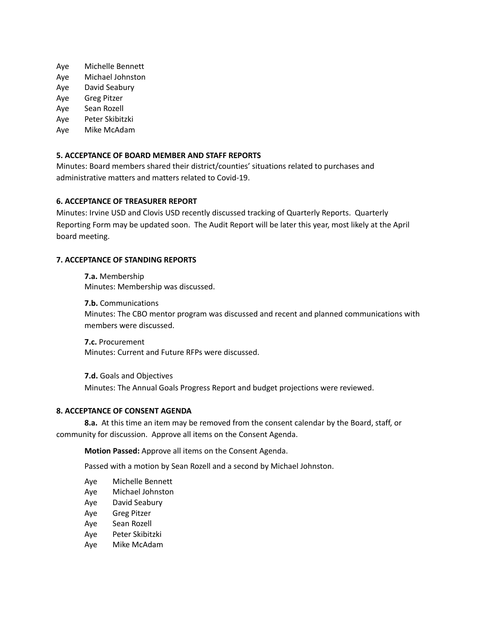- Aye Michelle Bennett
- Aye Michael Johnston
- Aye David Seabury
- Aye Greg Pitzer
- Aye Sean Rozell
- Aye Peter Skibitzki
- Aye Mike McAdam

## **5. ACCEPTANCE OF BOARD MEMBER AND STAFF REPORTS**

Minutes: Board members shared their district/counties' situations related to purchases and administrative matters and matters related to Covid-19.

## **6. ACCEPTANCE OF TREASURER REPORT**

Minutes: Irvine USD and Clovis USD recently discussed tracking of Quarterly Reports. Quarterly Reporting Form may be updated soon. The Audit Report will be later this year, most likely at the April board meeting.

## **7. ACCEPTANCE OF STANDING REPORTS**

**7.a.** Membership Minutes: Membership was discussed.

**7.b.** Communications Minutes: The CBO mentor program was discussed and recent and planned communications with members were discussed.

**7.c.** Procurement Minutes: Current and Future RFPs were discussed.

**7.d.** Goals and Objectives Minutes: The Annual Goals Progress Report and budget projections were reviewed.

## **8. ACCEPTANCE OF CONSENT AGENDA**

**8.a.** At this time an item may be removed from the consent calendar by the Board, staff, or community for discussion. Approve all items on the Consent Agenda.

**Motion Passed:** Approve all items on the Consent Agenda.

Passed with a motion by Sean Rozell and a second by Michael Johnston.

- Aye Michelle Bennett
- Aye Michael Johnston
- Aye David Seabury
- Aye Greg Pitzer
- Aye Sean Rozell
- Aye Peter Skibitzki
- Aye Mike McAdam